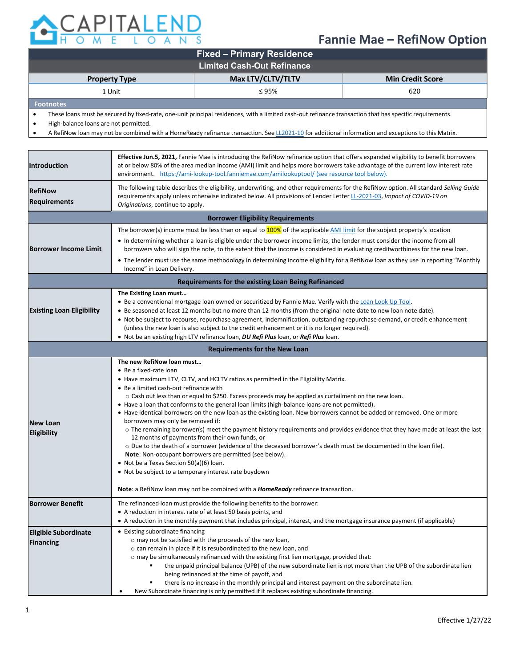

## **Fannie Mae – RefiNow Option**

| <b>Fixed – Primary Residence</b>  |                   |                         |  |  |
|-----------------------------------|-------------------|-------------------------|--|--|
| <b>Limited Cash-Out Refinance</b> |                   |                         |  |  |
| <b>Property Type</b>              | Max LTV/CLTV/TLTV | <b>Min Credit Score</b> |  |  |
| 1 Unit                            | $\leq$ 95%        | 620                     |  |  |
| <b>Footnotes</b>                  |                   |                         |  |  |

• These loans must be secured by fixed-rate, one-unit principal residences, with a limited cash-out refinance transaction that has specific requirements.

• High-balance loans are not permitted.

• A RefiNow loan may not be combined with a HomeReady refinance transaction. Se[e LL2021-10](https://singlefamily.fanniemae.com/media/25696/display) for additional information and exceptions to this Matrix.

| Introduction                                    | Effective Jun.5, 2021, Fannie Mae is introducing the RefiNow refinance option that offers expanded eligibility to benefit borrowers<br>at or below 80% of the area median income (AMI) limit and helps more borrowers take advantage of the current low interest rate<br>environment. https://ami-lookup-tool.fanniemae.com/amilookuptool/ (see resource tool below).                                                                                                                                                                                                                                                                                                                                                                                                                                                                                                                                                                                                                                                                                                                                                                  |  |  |  |
|-------------------------------------------------|----------------------------------------------------------------------------------------------------------------------------------------------------------------------------------------------------------------------------------------------------------------------------------------------------------------------------------------------------------------------------------------------------------------------------------------------------------------------------------------------------------------------------------------------------------------------------------------------------------------------------------------------------------------------------------------------------------------------------------------------------------------------------------------------------------------------------------------------------------------------------------------------------------------------------------------------------------------------------------------------------------------------------------------------------------------------------------------------------------------------------------------|--|--|--|
| <b>RefiNow</b><br><b>Requirements</b>           | The following table describes the eligibility, underwriting, and other requirements for the RefiNow option. All standard Selling Guide<br>requirements apply unless otherwise indicated below. All provisions of Lender Letter LL-2021-03, Impact of COVID-19 on<br>Originations, continue to apply.                                                                                                                                                                                                                                                                                                                                                                                                                                                                                                                                                                                                                                                                                                                                                                                                                                   |  |  |  |
| <b>Borrower Eligibility Requirements</b>        |                                                                                                                                                                                                                                                                                                                                                                                                                                                                                                                                                                                                                                                                                                                                                                                                                                                                                                                                                                                                                                                                                                                                        |  |  |  |
|                                                 | The borrower(s) income must be less than or equal to $100\%$ of the applicable AMI limit for the subject property's location                                                                                                                                                                                                                                                                                                                                                                                                                                                                                                                                                                                                                                                                                                                                                                                                                                                                                                                                                                                                           |  |  |  |
| <b>Borrower Income Limit</b>                    | • In determining whether a loan is eligible under the borrower income limits, the lender must consider the income from all<br>borrowers who will sign the note, to the extent that the income is considered in evaluating creditworthiness for the new loan.                                                                                                                                                                                                                                                                                                                                                                                                                                                                                                                                                                                                                                                                                                                                                                                                                                                                           |  |  |  |
|                                                 | • The lender must use the same methodology in determining income eligibility for a RefiNow loan as they use in reporting "Monthly<br>Income" in Loan Delivery.                                                                                                                                                                                                                                                                                                                                                                                                                                                                                                                                                                                                                                                                                                                                                                                                                                                                                                                                                                         |  |  |  |
|                                                 | Requirements for the existing Loan Being Refinanced                                                                                                                                                                                                                                                                                                                                                                                                                                                                                                                                                                                                                                                                                                                                                                                                                                                                                                                                                                                                                                                                                    |  |  |  |
| <b>Existing Loan Eligibility</b>                | The Existing Loan must<br>• Be a conventional mortgage loan owned or securitized by Fannie Mae. Verify with the Loan Look Up Tool.<br>. Be seasoned at least 12 months but no more than 12 months (from the original note date to new loan note date).<br>• Not be subject to recourse, repurchase agreement, indemnification, outstanding repurchase demand, or credit enhancement<br>(unless the new loan is also subject to the credit enhancement or it is no longer required).<br>. Not be an existing high LTV refinance loan, DU Refi Plus loan, or Refi Plus loan.                                                                                                                                                                                                                                                                                                                                                                                                                                                                                                                                                             |  |  |  |
| <b>Requirements for the New Loan</b>            |                                                                                                                                                                                                                                                                                                                                                                                                                                                                                                                                                                                                                                                                                                                                                                                                                                                                                                                                                                                                                                                                                                                                        |  |  |  |
| <b>New Loan</b><br><b>Eligibility</b>           | The new RefiNow loan must<br>• Be a fixed-rate loan<br>• Have maximum LTV, CLTV, and HCLTV ratios as permitted in the Eligibility Matrix.<br>• Be a limited cash-out refinance with<br>$\circ$ Cash out less than or equal to \$250. Excess proceeds may be applied as curtailment on the new loan.<br>• Have a loan that conforms to the general loan limits (high-balance loans are not permitted).<br>• Have identical borrowers on the new loan as the existing loan. New borrowers cannot be added or removed. One or more<br>borrowers may only be removed if:<br>o The remaining borrower(s) meet the payment history requirements and provides evidence that they have made at least the last<br>12 months of payments from their own funds, or<br>o Due to the death of a borrower (evidence of the deceased borrower's death must be documented in the loan file).<br>Note: Non-occupant borrowers are permitted (see below).<br>• Not be a Texas Section 50(a)(6) loan.<br>• Not be subject to a temporary interest rate buydown<br>Note: a RefiNow loan may not be combined with a <i>HomeReady</i> refinance transaction. |  |  |  |
| <b>Borrower Benefit</b>                         | The refinanced loan must provide the following benefits to the borrower:<br>• A reduction in interest rate of at least 50 basis points, and<br>• A reduction in the monthly payment that includes principal, interest, and the mortgage insurance payment (if applicable)                                                                                                                                                                                                                                                                                                                                                                                                                                                                                                                                                                                                                                                                                                                                                                                                                                                              |  |  |  |
| <b>Eligible Subordinate</b><br><b>Financing</b> | • Existing subordinate financing<br>o may not be satisfied with the proceeds of the new loan,<br>o can remain in place if it is resubordinated to the new loan, and<br>$\circ$ may be simultaneously refinanced with the existing first lien mortgage, provided that:<br>the unpaid principal balance (UPB) of the new subordinate lien is not more than the UPB of the subordinate lien<br>being refinanced at the time of payoff, and<br>there is no increase in the monthly principal and interest payment on the subordinate lien.<br>٠<br>New Subordinate financing is only permitted if it replaces existing subordinate financing.                                                                                                                                                                                                                                                                                                                                                                                                                                                                                              |  |  |  |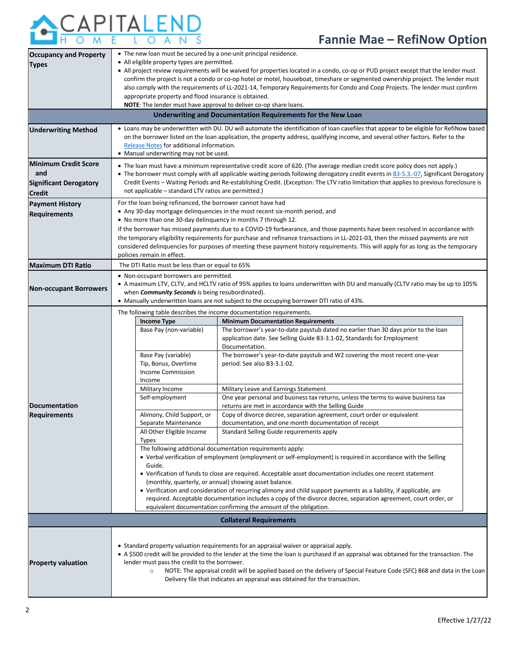## APITALEND

## **Fannie Mae – RefiNow Option**

| <b>Occupancy and Property</b><br><b>Types</b>                                                                                     | • The new loan must be secured by a one-unit principal residence.<br>• All eligible property types are permitted.<br>• All project review requirements will be waived for properties located in a condo, co-op or PUD project except that the lender must                                                                                                                                                                                                                                              |  |  |  |  |
|-----------------------------------------------------------------------------------------------------------------------------------|--------------------------------------------------------------------------------------------------------------------------------------------------------------------------------------------------------------------------------------------------------------------------------------------------------------------------------------------------------------------------------------------------------------------------------------------------------------------------------------------------------|--|--|--|--|
|                                                                                                                                   | confirm the project is not a condo or co-op hotel or motel, houseboat, timeshare or segmented ownership project. The lender must<br>also comply with the requirements of LL-2021-14, Temporary Requirements for Condo and Coop Projects. The lender must confirm<br>appropriate property and flood insurance is obtained.                                                                                                                                                                              |  |  |  |  |
| NOTE: The lender must have approval to deliver co-op share loans.<br>Underwriting and Documentation Requirements for the New Loan |                                                                                                                                                                                                                                                                                                                                                                                                                                                                                                        |  |  |  |  |
|                                                                                                                                   | • Loans may be underwritten with DU. DU will automate the identification of loan casefiles that appear to be eligible for RefiNow based                                                                                                                                                                                                                                                                                                                                                                |  |  |  |  |
| <b>Underwriting Method</b>                                                                                                        | on the borrower listed on the loan application, the property address, qualifying income, and several other factors. Refer to the<br>Release Notes for additional information.<br>• Manual underwriting may not be used.                                                                                                                                                                                                                                                                                |  |  |  |  |
| <b>Minimum Credit Score</b>                                                                                                       | • The loan must have a minimum representative credit score of 620. (The average median credit score policy does not apply.)                                                                                                                                                                                                                                                                                                                                                                            |  |  |  |  |
| and<br><b>Significant Derogatory</b>                                                                                              | • The borrower must comply with all applicable waiting periods following derogatory credit events in B3-5.3.-07, Significant Derogatory<br>Credit Events – Waiting Periods and Re-establishing Credit. (Exception: The LTV ratio limitation that applies to previous foreclosure is                                                                                                                                                                                                                    |  |  |  |  |
| <b>Credit</b>                                                                                                                     | not applicable – standard LTV ratios are permitted.)                                                                                                                                                                                                                                                                                                                                                                                                                                                   |  |  |  |  |
| <b>Payment History</b>                                                                                                            | For the loan being refinanced, the borrower cannot have had                                                                                                                                                                                                                                                                                                                                                                                                                                            |  |  |  |  |
| <b>Requirements</b>                                                                                                               | • Any 30-day mortgage delinquencies in the most recent six-month period, and<br>• No more than one 30-day delinquency in months 7 through 12.                                                                                                                                                                                                                                                                                                                                                          |  |  |  |  |
|                                                                                                                                   | If the borrower has missed payments due to a COVID-19 forbearance, and those payments have been resolved in accordance with                                                                                                                                                                                                                                                                                                                                                                            |  |  |  |  |
|                                                                                                                                   | the temporary eligibility requirements for purchase and refinance transactions in LL-2021-03, then the missed payments are not                                                                                                                                                                                                                                                                                                                                                                         |  |  |  |  |
|                                                                                                                                   | considered delinguencies for purposes of meeting these payment history requirements. This will apply for as long as the temporary<br>policies remain in effect.                                                                                                                                                                                                                                                                                                                                        |  |  |  |  |
| <b>Maximum DTI Ratio</b>                                                                                                          | The DTI Ratio must be less than or equal to 65%                                                                                                                                                                                                                                                                                                                                                                                                                                                        |  |  |  |  |
| <b>Non-occupant Borrowers</b>                                                                                                     | • Non-occupant borrowers are permitted.<br>• A maximum LTV, CLTV, and HCLTV ratio of 95% applies to loans underwritten with DU and manually (CLTV ratio may be up to 105%<br>when <b>Community Seconds</b> is being resubordinated).<br>• Manually underwritten loans are not subject to the occupying borrower DTI ratio of 43%.                                                                                                                                                                      |  |  |  |  |
|                                                                                                                                   | The following table describes the income documentation requirements.                                                                                                                                                                                                                                                                                                                                                                                                                                   |  |  |  |  |
|                                                                                                                                   | <b>Income Type</b><br><b>Minimum Documentation Requirements</b>                                                                                                                                                                                                                                                                                                                                                                                                                                        |  |  |  |  |
|                                                                                                                                   | Base Pay (non-variable)<br>The borrower's year-to-date paystub dated no earlier than 30 days prior to the loan<br>application date. See Selling Guide B3-3.1-02, Standards for Employment<br>Documentation.                                                                                                                                                                                                                                                                                            |  |  |  |  |
|                                                                                                                                   | Base Pay (variable)<br>The borrower's year-to-date paystub and W2 covering the most recent one-year                                                                                                                                                                                                                                                                                                                                                                                                    |  |  |  |  |
|                                                                                                                                   | Tip, Bonus, Overtime<br>period. See also B3-3.1-02.<br><b>Income Commission</b><br>Income                                                                                                                                                                                                                                                                                                                                                                                                              |  |  |  |  |
|                                                                                                                                   | Military Leave and Earnings Statement<br>Military Income                                                                                                                                                                                                                                                                                                                                                                                                                                               |  |  |  |  |
| <b>Documentation</b>                                                                                                              | One year personal and business tax returns, unless the terms to waive business tax<br>Self-employment<br>returns are met in accordance with the Selling Guide                                                                                                                                                                                                                                                                                                                                          |  |  |  |  |
| <b>Requirements</b>                                                                                                               | Alimony, Child Support, or<br>Copy of divorce decree, separation agreement, court order or equivalent                                                                                                                                                                                                                                                                                                                                                                                                  |  |  |  |  |
|                                                                                                                                   | Separate Maintenance<br>documentation, and one month documentation of receipt                                                                                                                                                                                                                                                                                                                                                                                                                          |  |  |  |  |
|                                                                                                                                   | All Other Eligible Income<br>Standard Selling Guide requirements apply<br><b>Types</b>                                                                                                                                                                                                                                                                                                                                                                                                                 |  |  |  |  |
|                                                                                                                                   | The following additional documentation requirements apply:                                                                                                                                                                                                                                                                                                                                                                                                                                             |  |  |  |  |
|                                                                                                                                   | • Verbal verification of employment (employment or self-employment) is required in accordance with the Selling<br>Guide.                                                                                                                                                                                                                                                                                                                                                                               |  |  |  |  |
|                                                                                                                                   | • Verification of funds to close are required. Acceptable asset documentation includes one recent statement                                                                                                                                                                                                                                                                                                                                                                                            |  |  |  |  |
|                                                                                                                                   | (monthly, quarterly, or annual) showing asset balance.<br>• Verification and consideration of recurring alimony and child support payments as a liability, if applicable, are                                                                                                                                                                                                                                                                                                                          |  |  |  |  |
|                                                                                                                                   | required. Acceptable documentation includes a copy of the divorce decree, separation agreement, court order, or                                                                                                                                                                                                                                                                                                                                                                                        |  |  |  |  |
|                                                                                                                                   | equivalent documentation confirming the amount of the obligation.                                                                                                                                                                                                                                                                                                                                                                                                                                      |  |  |  |  |
|                                                                                                                                   | <b>Collateral Requirements</b>                                                                                                                                                                                                                                                                                                                                                                                                                                                                         |  |  |  |  |
| <b>Property valuation</b>                                                                                                         | • Standard property valuation requirements for an appraisal waiver or appraisal apply.<br>• A \$500 credit will be provided to the lender at the time the loan is purchased if an appraisal was obtained for the transaction. The<br>lender must pass the credit to the borrower.<br>NOTE: The appraisal credit will be applied based on the delivery of Special Feature Code (SFC) 868 and data in the Loan<br>$\circ$<br>Delivery file that indicates an appraisal was obtained for the transaction. |  |  |  |  |